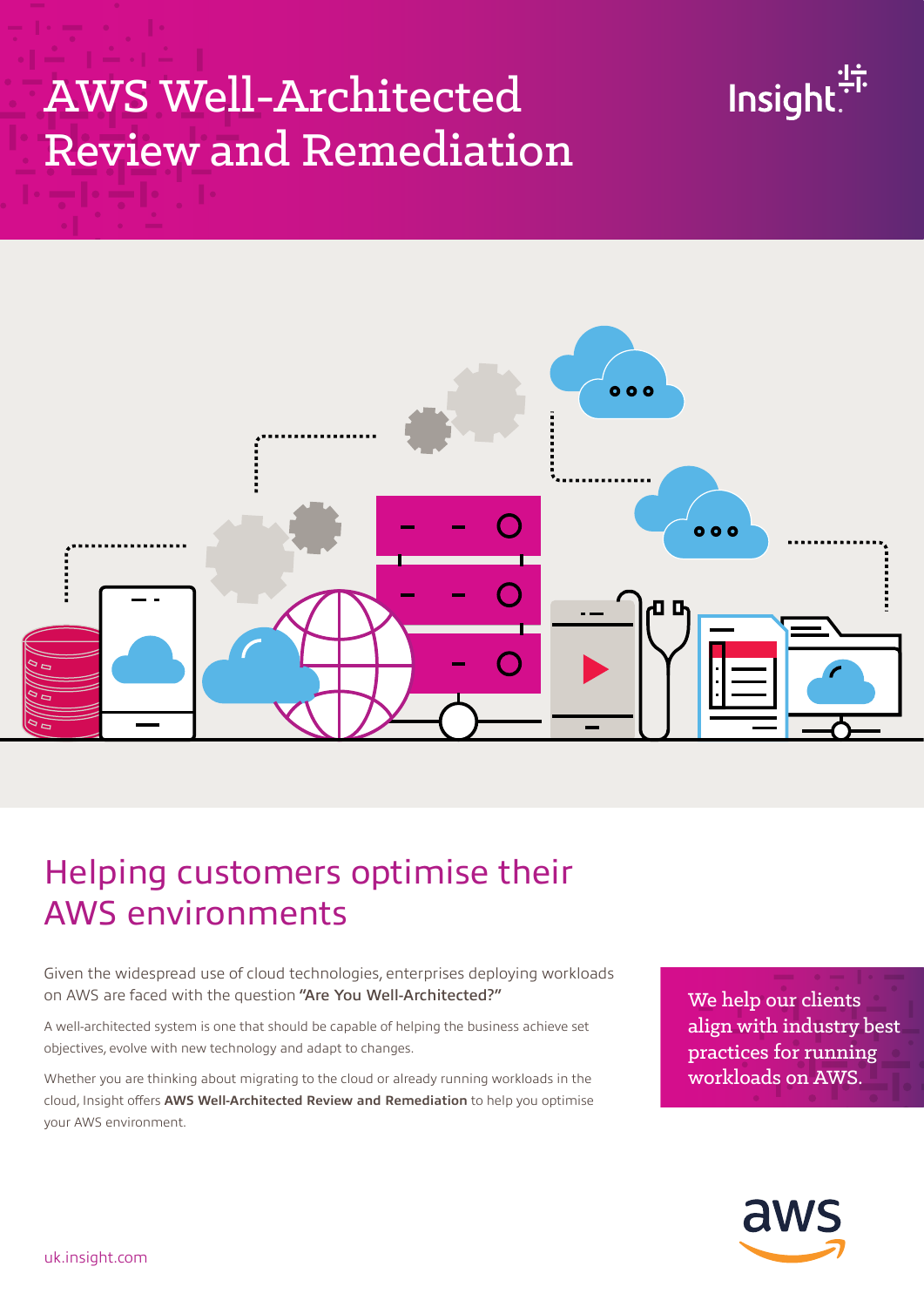## AWS Well-Architected Review and Remediation





## Helping customers optimise their AWS environments

Given the widespread use of cloud technologies, enterprises deploying workloads on AWS are faced with the question "Are You Well-Architected?"

A well-architected system is one that should be capable of helping the business achieve set objectives, evolve with new technology and adapt to changes.

Whether you are thinking about migrating to the cloud or already running workloads in the cloud, Insight offers **AWS Well-Architected Review and Remediation** to help you optimise your AWS environment.

We help our clients align with industry best practices for running workloads on AWS.